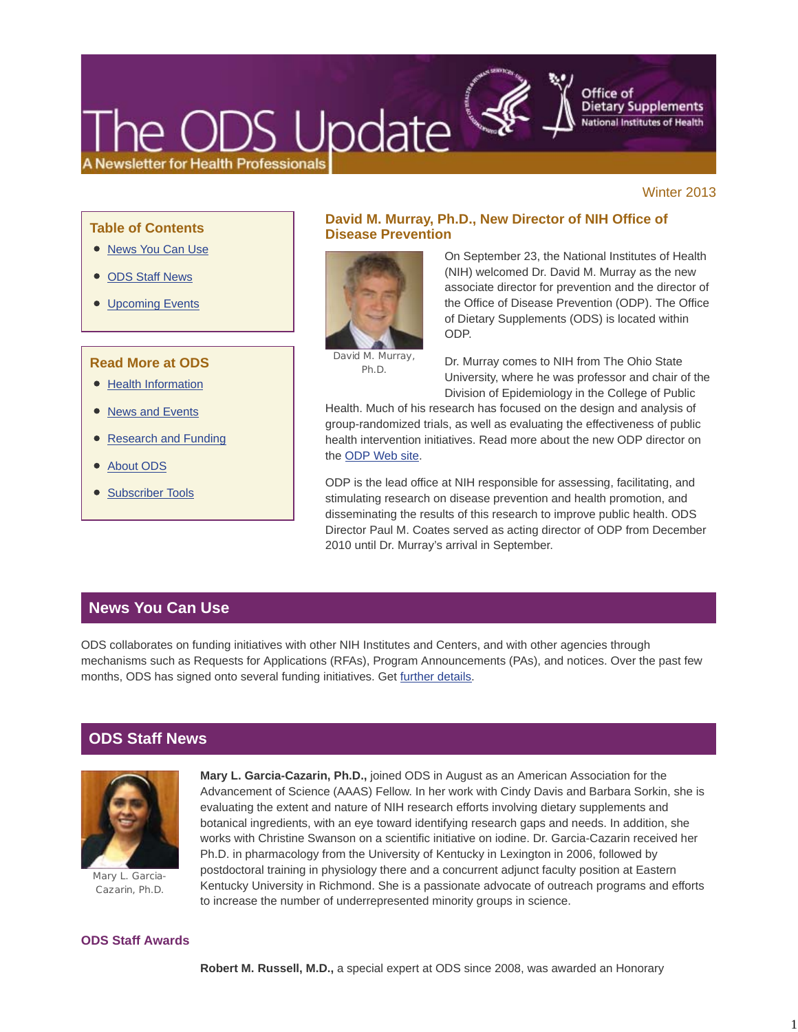# DS Update **Newsletter for Health Professionals**

Winter 2013

#### **Table of Contents**

- News You Can Use
- ODS Staff News
- Upcoming Events

## **Read More at ODS**

- Health Information
- News and Events
- Research and Funding
- About ODS
- Subscriber Tools

# **David M. Murray, Ph.D., New Director of NIH Office of Disease Prevention**



On September 23, the National Institutes of Health (NIH) welcomed Dr. David M. Murray as the new associate director for prevention and the director of the Office of Disease Prevention (ODP). The Office of Dietary Supplements (ODS) is located within ODP.

Office of

**Dietary Supplements National Institutes of Health** 

David M. Murray, Ph.D.

Dr. Murray comes to NIH from The Ohio State University, where he was professor and chair of the Division of Epidemiology in the College of Public

Health. Much of his research has focused on the design and analysis of group-randomized trials, as well as evaluating the effectiveness of public health intervention initiatives. Read more about the new ODP director on the ODP Web site.

ODP is the lead office at NIH responsible for assessing, facilitating, and stimulating research on disease prevention and health promotion, and disseminating the results of this research to improve public health. ODS Director Paul M. Coates served as acting director of ODP from December 2010 until Dr. Murray's arrival in September.

# **News You Can Use**

ODS collaborates on funding initiatives with other NIH Institutes and Centers, and with other agencies through mechanisms such as Requests for Applications (RFAs), Program Announcements (PAs), and notices. Over the past few months, ODS has signed onto several funding initiatives. Get further details.

# **ODS Staff News**



Mary L. Garcia-Cazarin, Ph.D.

**Mary L. Garcia-Cazarin, Ph.D.,** joined ODS in August as an American Association for the Advancement of Science (AAAS) Fellow. In her work with Cindy Davis and Barbara Sorkin, she is evaluating the extent and nature of NIH research efforts involving dietary supplements and botanical ingredients, with an eye toward identifying research gaps and needs. In addition, she works with Christine Swanson on a scientific initiative on iodine. Dr. Garcia-Cazarin received her Ph.D. in pharmacology from the University of Kentucky in Lexington in 2006, followed by postdoctoral training in physiology there and a concurrent adjunct faculty position at Eastern Kentucky University in Richmond. She is a passionate advocate of outreach programs and efforts to increase the number of underrepresented minority groups in science.

#### **ODS Staff Awards**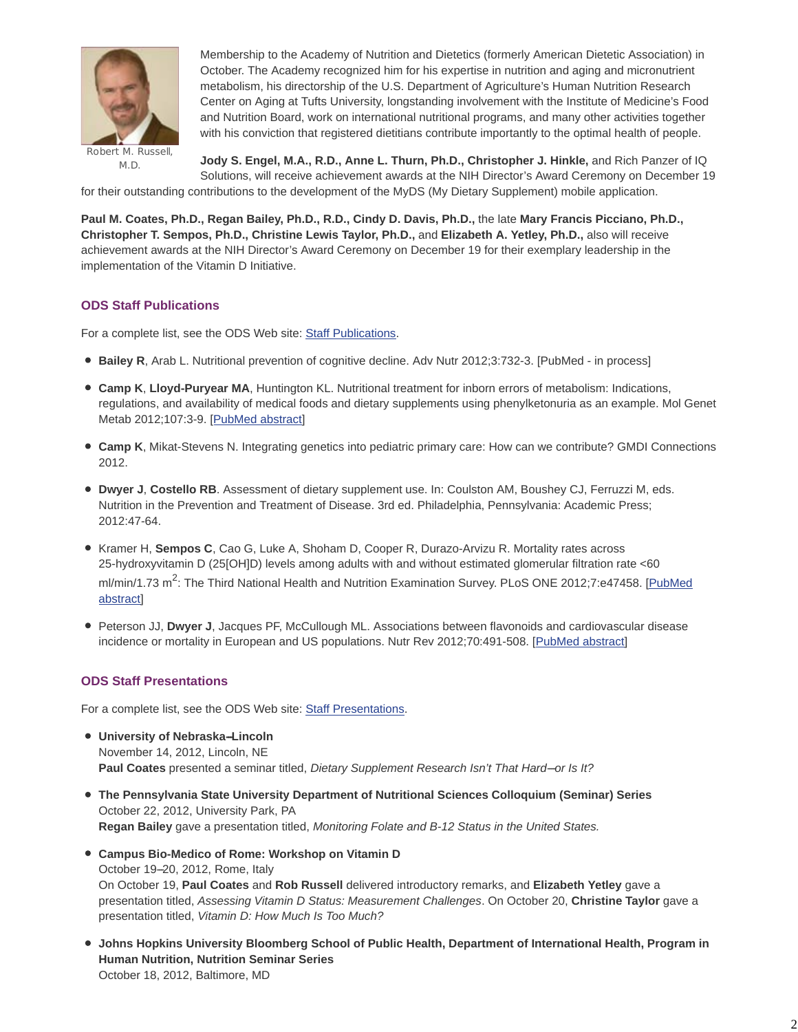

Robert M. Russell, M.D.

Membership to the Academy of Nutrition and Dietetics (formerly American Dietetic Association) in October. The Academy recognized him for his expertise in nutrition and aging and micronutrient metabolism, his directorship of the U.S. Department of Agriculture's Human Nutrition Research Center on Aging at Tufts University, longstanding involvement with the Institute of Medicine's Food and Nutrition Board, work on international nutritional programs, and many other activities together with his conviction that registered dietitians contribute importantly to the optimal health of people.

**Jody S. Engel, M.A., R.D., Anne L. Thurn, Ph.D., Christopher J. Hinkle,** and Rich Panzer of IQ Solutions, will receive achievement awards at the NIH Director's Award Ceremony on December 19

for their outstanding contributions to the development of the MyDS (My Dietary Supplement) mobile application.

**Paul M. Coates, Ph.D., Regan Bailey, Ph.D., R.D., Cindy D. Davis, Ph.D.,** the late **Mary Francis Picciano, Ph.D., Christopher T. Sempos, Ph.D., Christine Lewis Taylor, Ph.D.,** and **Elizabeth A. Yetley, Ph.D.,** also will receive achievement awards at the NIH Director's Award Ceremony on December 19 for their exemplary leadership in the implementation of the Vitamin D Initiative.

## **ODS Staff Publications**

For a complete list, see the ODS Web site: Staff Publications.

- **Bailey R**, Arab L. Nutritional prevention of cognitive decline. Adv Nutr 2012;3:732-3. [PubMed in process]
- **Camp K**, **Lloyd-Puryear MA**, Huntington KL. Nutritional treatment for inborn errors of metabolism: Indications, regulations, and availability of medical foods and dietary supplements using phenylketonuria as an example. Mol Genet Metab 2012;107:3-9. [PubMed abstract]
- **Camp K**, Mikat-Stevens N. Integrating genetics into pediatric primary care: How can we contribute? GMDI Connections 2012.
- **Dwyer J**, **Costello RB**. Assessment of dietary supplement use. In: Coulston AM, Boushey CJ, Ferruzzi M, eds. Nutrition in the Prevention and Treatment of Disease. 3rd ed. Philadelphia, Pennsylvania: Academic Press; 2012:47-64.
- Kramer H, **Sempos C**, Cao G, Luke A, Shoham D, Cooper R, Durazo-Arvizu R. Mortality rates across 25-hydroxyvitamin D (25[OH]D) levels among adults with and without estimated glomerular filtration rate <60 ml/min/1.73 m<sup>2</sup>: The Third National Health and Nutrition Examination Survey. PLoS ONE 2012;7:e47458. [PubMed abstract]
- Peterson JJ, **Dwyer J**, Jacques PF, McCullough ML. Associations between flavonoids and cardiovascular disease incidence or mortality in European and US populations. Nutr Rev 2012;70:491-508. [PubMed abstract]

## **ODS Staff Presentations**

For a complete list, see the ODS Web site: Staff Presentations.

- $\bullet$  University of Nebraska-Lincoln November 14, 2012, Lincoln, NE Paul Coates presented a seminar titled, *Dietary Supplement Research Isn't That Hard--or Is It?*
- **The Pennsylvania State University Department of Nutritional Sciences Colloquium (Seminar) Series** October 22, 2012, University Park, PA **Regan Bailey** gave a presentation titled, *Monitoring Folate and B-12 Status in the United States.*
- **Campus Bio-Medico of Rome: Workshop on Vitamin D** October 19--20, 2012, Rome, Italy On October 19, **Paul Coates** and **Rob Russell** delivered introductory remarks, and **Elizabeth Yetley** gave a presentation titled, *Assessing Vitamin D Status: Measurement Challenges*. On October 20, **Christine Taylor** gave a presentation titled, *Vitamin D: How Much Is Too Much?*
- **Johns Hopkins University Bloomberg School of Public Health, Department of International Health, Program in Human Nutrition, Nutrition Seminar Series**  October 18, 2012, Baltimore, MD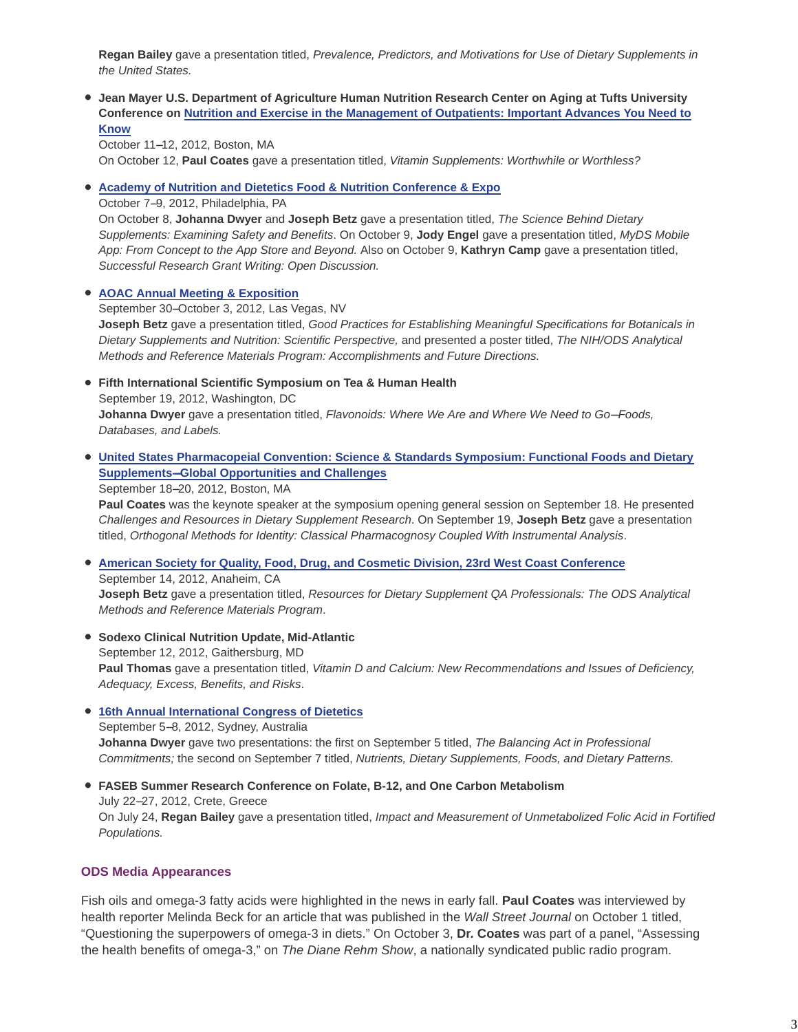**Regan Bailey** gave a presentation titled, *Prevalence, Predictors, and Motivations for Use of Dietary Supplements in the United States.*

**Jean Mayer U.S. Department of Agriculture Human Nutrition Research Center on Aging at Tufts University Conference on Nutrition and Exercise in the Management of Outpatients: Important Advances You Need to Know**

October 11-12, 2012, Boston, MA On October 12, **Paul Coates** gave a presentation titled, *Vitamin Supplements: Worthwhile or Worthless?*

**Academy of Nutrition and Dietetics Food & Nutrition Conference & Expo**

October 7-9, 2012, Philadelphia, PA

On October 8, **Johanna Dwyer** and **Joseph Betz** gave a presentation titled, *The Science Behind Dietary Supplements: Examining Safety and Benefits*. On October 9, **Jody Engel** gave a presentation titled, *MyDS Mobile App: From Concept to the App Store and Beyond.* Also on October 9, **Kathryn Camp** gave a presentation titled, *Successful Research Grant Writing: Open Discussion.*

#### **AOAC Annual Meeting & Exposition**

September 30-October 3, 2012, Las Vegas, NV **Joseph Betz** gave a presentation titled, *Good Practices for Establishing Meaningful Specifications for Botanicals in Dietary Supplements and Nutrition: Scientific Perspective,* and presented a poster titled, *The NIH/ODS Analytical Methods and Reference Materials Program: Accomplishments and Future Directions.*

**Fifth International Scientific Symposium on Tea & Human Health** September 19, 2012, Washington, DC Johanna Dwyer gave a presentation titled, *Flavonoids: Where We Are and Where We Need to Go-Foods*, *Databases, and Labels.*

**United States Pharmacopeial Convention: Science & Standards Symposium: Functional Foods and Dietary Supplements--Global Opportunities and Challenges** 

September 18-20, 2012, Boston, MA

**Paul Coates** was the keynote speaker at the symposium opening general session on September 18. He presented *Challenges and Resources in Dietary Supplement Research*. On September 19, **Joseph Betz** gave a presentation titled, *Orthogonal Methods for Identity: Classical Pharmacognosy Coupled With Instrumental Analysis*.

**American Society for Quality, Food, Drug, and Cosmetic Division, 23rd West Coast Conference** September 14, 2012, Anaheim, CA **Joseph Betz** gave a presentation titled, *Resources for Dietary Supplement QA Professionals: The ODS Analytical Methods and Reference Materials Program*.

- **Sodexo Clinical Nutrition Update, Mid-Atlantic** September 12, 2012, Gaithersburg, MD **Paul Thomas** gave a presentation titled, *Vitamin D and Calcium: New Recommendations and Issues of Deficiency, Adequacy, Excess, Benefits, and Risks*.
- **16th Annual International Congress of Dietetics** September 5-8, 2012, Sydney, Australia **Johanna Dwyer** gave two presentations: the first on September 5 titled, *The Balancing Act in Professional Commitments;* the second on September 7 titled, *Nutrients, Dietary Supplements, Foods, and Dietary Patterns.*
- **FASEB Summer Research Conference on Folate, B-12, and One Carbon Metabolism** July 22--27, 2012, Crete, Greece On July 24, **Regan Bailey** gave a presentation titled, *Impact and Measurement of Unmetabolized Folic Acid in Fortified Populations.*

## **ODS Media Appearances**

Fish oils and omega-3 fatty acids were highlighted in the news in early fall. **Paul Coates** was interviewed by health reporter Melinda Beck for an article that was published in the *Wall Street Journal* on October 1 titled, "Questioning the superpowers of omega-3 in diets." On October 3, **Dr. Coates** was part of a panel, "Assessing the health benefits of omega-3," on *The Diane Rehm Show*, a nationally syndicated public radio program.